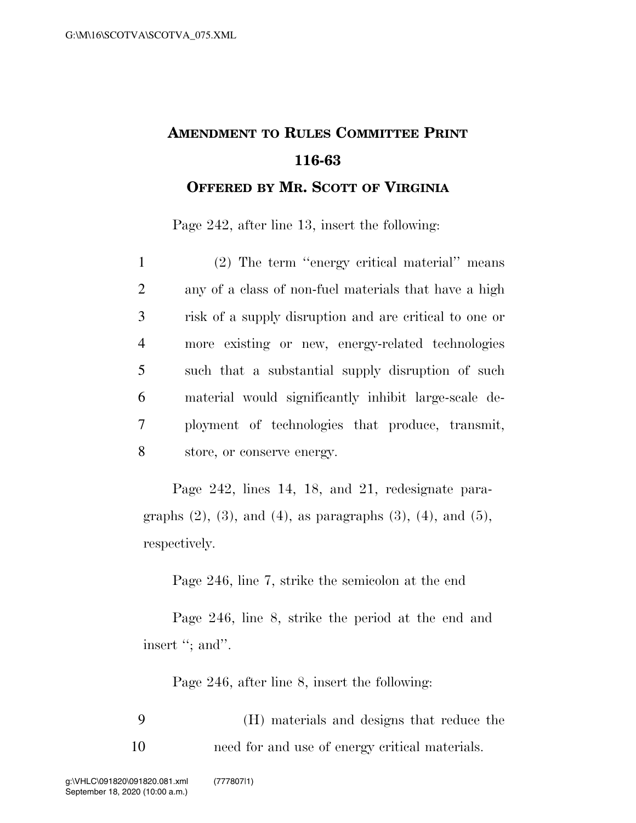## **AMENDMENT TO RULES COMMITTEE PRINT 116-63 OFFERED BY MR. SCOTT OF VIRGINIA**

Page 242, after line 13, insert the following:

 (2) The term ''energy critical material'' means any of a class of non-fuel materials that have a high risk of a supply disruption and are critical to one or more existing or new, energy-related technologies such that a substantial supply disruption of such material would significantly inhibit large-scale de- ployment of technologies that produce, transmit, store, or conserve energy.

Page 242, lines 14, 18, and 21, redesignate paragraphs  $(2)$ ,  $(3)$ , and  $(4)$ , as paragraphs  $(3)$ ,  $(4)$ , and  $(5)$ , respectively.

Page 246, line 7, strike the semicolon at the end

Page 246, line 8, strike the period at the end and insert "; and".

Page 246, after line 8, insert the following:

9 (H) materials and designs that reduce the 10 need for and use of energy critical materials.